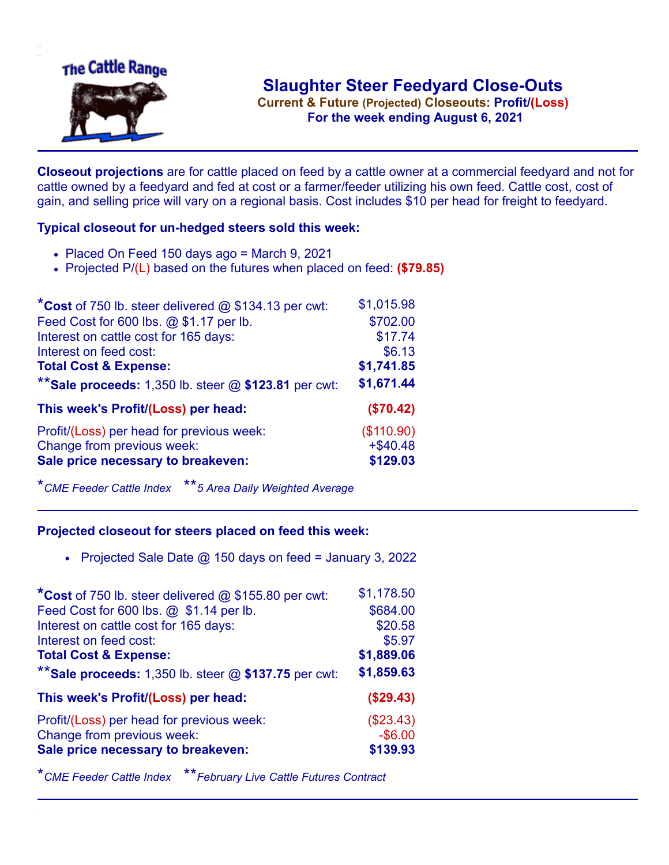

**Current & Future (Projected) Closeouts: Profit/(Loss)** .**For the week ending August 6, 2021**

**Closeout projections** are for cattle placed on feed by a cattle owner at a commercial feedyard and not for cattle owned by a feedyard and fed at cost or a farmer/feeder utilizing his own feed. Cattle cost, cost of gain, and selling price will vary on a regional basis. Cost includes \$10 per head for freight to feedyard.

## **Typical closeout for un-hedged steers sold this week:**

- Placed On Feed 150 days ago = March 9, 2021
- Projected P/(L) based on the futures when placed on feed: **(\$79.85)**

| *Cost of 750 lb. steer delivered $@$ \$134.13 per cwt:  | \$1,015.98  |
|---------------------------------------------------------|-------------|
| Feed Cost for 600 lbs. @ \$1.17 per lb.                 | \$702.00    |
| Interest on cattle cost for 165 days:                   | \$17.74     |
| Interest on feed cost:                                  | \$6.13      |
| <b>Total Cost &amp; Expense:</b>                        | \$1,741.85  |
| ** Sale proceeds: 1,350 lb. steer $@$ \$123.81 per cwt: | \$1,671.44  |
| This week's Profit/(Loss) per head:                     | (\$70.42)   |
| Profit/(Loss) per head for previous week:               | (\$110.90)  |
| Change from previous week:                              | $+$ \$40.48 |
| Sale price necessary to breakeven:                      | \$129.03    |

\**CME Feeder Cattle Index* \*\**5 Area Daily Weighted Average*

## **Projected closeout for steers placed on feed this week:**

• Projected Sale Date  $@$  150 days on feed = January 3, 2022

| *Cost of 750 lb. steer delivered @ \$155.80 per cwt:    | \$1,178.50 |
|---------------------------------------------------------|------------|
| Feed Cost for 600 lbs. @ \$1.14 per lb.                 | \$684.00   |
| Interest on cattle cost for 165 days:                   | \$20.58    |
| Interest on feed cost:                                  | \$5.97     |
| <b>Total Cost &amp; Expense:</b>                        | \$1,889.06 |
| ** Sale proceeds: 1,350 lb. steer $@$ \$137.75 per cwt: | \$1,859.63 |
| This week's Profit/(Loss) per head:                     | (\$29.43)  |
| Profit/(Loss) per head for previous week:               | (\$23.43)  |
| Change from previous week:                              | $-$ \$6.00 |
| Sale price necessary to breakeven:                      | \$139.93   |

\**CME Feeder Cattle Index* \*\**February Live Cattle Futures Contract*